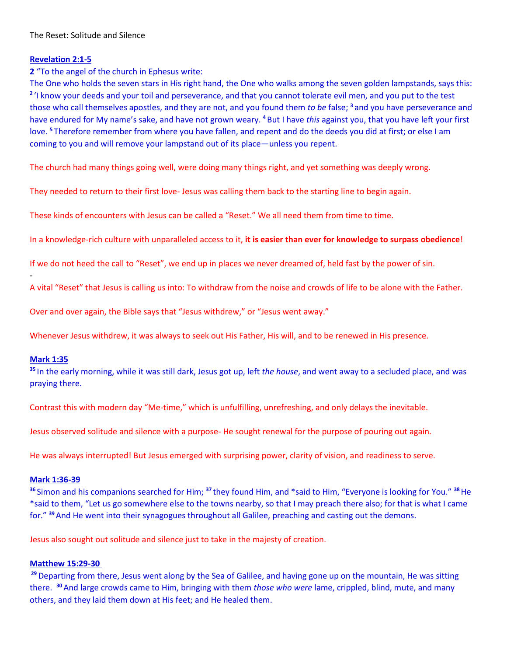### The Reset: Solitude and Silence

### **Revelation 2:1-5**

**2** "To the angel of the church in Ephesus write:

The One who holds the seven stars in His right hand, the One who walks among the seven golden lampstands, says this: <sup>2</sup> 'I know your deeds and your toil and perseverance, and that you cannot tolerate evil men, and you put to the test those who call themselves apostles, and they are not, and you found them *to be* false; **<sup>3</sup>** and you have perseverance and have endured for My name's sake, and have not grown weary. **<sup>4</sup>** But I have *this* against you, that you have left your first love. **<sup>5</sup>** Therefore remember from where you have fallen, and repent and do the deeds you did at first; or else I am coming to you and will remove your lampstand out of its place—unless you repent.

The church had many things going well, were doing many things right, and yet something was deeply wrong.

They needed to return to their first love- Jesus was calling them back to the starting line to begin again.

These kinds of encounters with Jesus can be called a "Reset." We all need them from time to time.

In a knowledge-rich culture with unparalleled access to it, **it is easier than ever for knowledge to surpass obedience**!

If we do not heed the call to "Reset", we end up in places we never dreamed of, held fast by the power of sin.

A vital "Reset" that Jesus is calling us into: To withdraw from the noise and crowds of life to be alone with the Father.

Over and over again, the Bible says that "Jesus withdrew," or "Jesus went away."

Whenever Jesus withdrew, it was always to seek out His Father, His will, and to be renewed in His presence.

### **Mark 1:35**

-

**<sup>35</sup>** In the early morning, while it was still dark, Jesus got up, left *the house*, and went away to a secluded place, and was praying there.

Contrast this with modern day "Me-time," which is unfulfilling, unrefreshing, and only delays the inevitable.

Jesus observed solitude and silence with a purpose- He sought renewal for the purpose of pouring out again.

He was always interrupted! But Jesus emerged with surprising power, clarity of vision, and readiness to serve.

### **Mark 1:36-39**

**<sup>36</sup>** Simon and his companions searched for Him; **<sup>37</sup>** they found Him, and \*said to Him, "Everyone is looking for You." **<sup>38</sup>**He \*said to them, "Let us go somewhere else to the towns nearby, so that I may preach there also; for that is what I came for." **<sup>39</sup>**And He went into their synagogues throughout all Galilee, preaching and casting out the demons.

Jesus also sought out solitude and silence just to take in the majesty of creation.

### **Matthew 15:29-30**

**<sup>29</sup>**Departing from there, Jesus went along by the Sea of Galilee, and having gone up on the mountain, He was sitting there. **<sup>30</sup>**And large crowds came to Him, bringing with them *those who were* lame, crippled, blind, mute, and many others, and they laid them down at His feet; and He healed them.